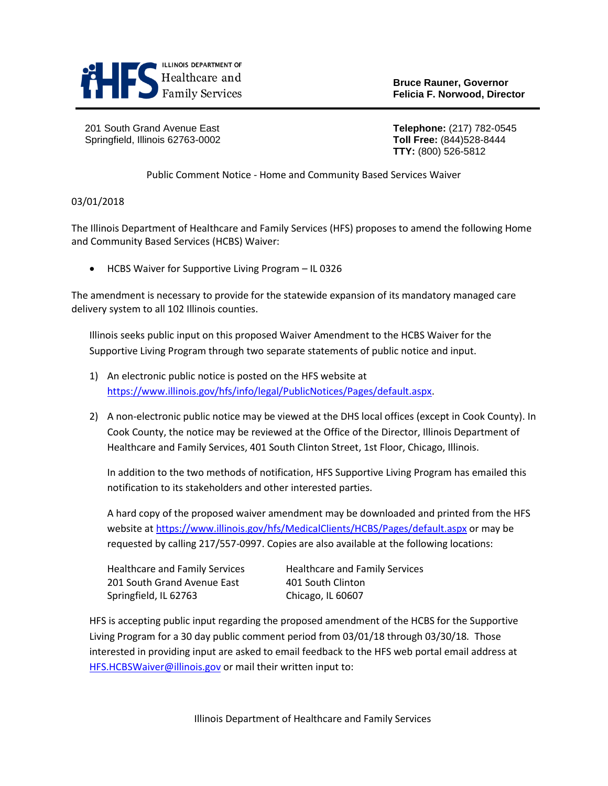

**Bruce Rauner, Governor**

201 South Grand Avenue East **Telephone:** (217) 782-0545 Springfield, Illinois 62763-0002 **Toll Free:** (844)528-8444

**TTY:** (800) 526-5812

Public Comment Notice - Home and Community Based Services Waiver

## 03/01/2018

The Illinois Department of Healthcare and Family Services (HFS) proposes to amend the following Home and Community Based Services (HCBS) Waiver:

• HCBS Waiver for Supportive Living Program – IL 0326

The amendment is necessary to provide for the statewide expansion of its mandatory managed care delivery system to all 102 Illinois counties.

Illinois seeks public input on this proposed Waiver Amendment to the HCBS Waiver for the Supportive Living Program through two separate statements of public notice and input.

- 1) An electronic public notice is posted on the HFS website at [https://www.illinois.gov/hfs/info/legal/PublicNotices/Pages/default.aspx.](https://www.illinois.gov/hfs/info/legal/PublicNotices/Pages/default.aspx)
- 2) A non-electronic public notice may be viewed at the DHS local offices (except in Cook County). In Cook County, the notice may be reviewed at the Office of the Director, Illinois Department of Healthcare and Family Services, 401 South Clinton Street, 1st Floor, Chicago, Illinois.

In addition to the two methods of notification, HFS Supportive Living Program has emailed this notification to its stakeholders and other interested parties.

A hard copy of the proposed waiver amendment may be downloaded and printed from the HFS website at<https://www.illinois.gov/hfs/MedicalClients/HCBS/Pages/default.aspx> or may be requested by calling 217/557-0997. Copies are also available at the following locations:

| <b>Healthcare and Family Services</b> | Health |
|---------------------------------------|--------|
| 201 South Grand Avenue East           | 401 So |
| Springfield, IL 62763                 | Chicag |

Icare and Family Services วนth Clinton ข<sub>ึ</sub>ด, IL 60607

HFS is accepting public input regarding the proposed amendment of the HCBS for the Supportive Living Program for a 30 day public comment period from 03/01/18 through 03/30/18*.* Those interested in providing input are asked to email feedback to the HFS web portal email address at [HFS.HCBSWaiver@illinois.gov](mailto:HFS.HCBSWaiver@illinois.gov) or mail their written input to: